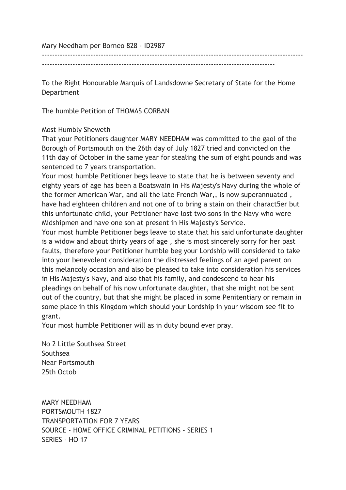Mary Needham per Borneo 828 - ID2987

------------------------------------------------------------------------------------------------------

-------------------------------------------------------------------------------------------

To the Right Honourable Marquis of Landsdowne Secretary of State for the Home Department

The humble Petition of THOMAS CORBAN

## Most Humbly Sheweth

That your Petitioners daughter MARY NEEDHAM was committed to the gaol of the Borough of Portsmouth on the 26th day of July 1827 tried and convicted on the 11th day of October in the same year for stealing the sum of eight pounds and was sentenced to 7 years transportation.

Your most humble Petitioner begs leave to state that he is between seventy and eighty years of age has been a Boatswain in His Majesty's Navy during the whole of the former American War, and all the late French War,, is now superannuated , have had eighteen children and not one of to bring a stain on their charact5er but this unfortunate child, your Petitioner have lost two sons in the Navy who were Midshipmen and have one son at present in His Majesty's Service.

Your most humble Petitioner begs leave to state that his said unfortunate daughter is a widow and about thirty years of age , she is most sincerely sorry for her past faults, therefore your Petitioner humble beg your Lordship will considered to take into your benevolent consideration the distressed feelings of an aged parent on this melancoly occasion and also be pleased to take into consideration his services in His Majesty's Navy, and also that his family, and condescend to hear his pleadings on behalf of his now unfortunate daughter, that she might not be sent out of the country, but that she might be placed in some Penitentiary or remain in some place in this Kingdom which should your Lordship in your wisdom see fit to grant.

Your most humble Petitioner will as in duty bound ever pray.

No 2 Little Southsea Street Southsea Near Portsmouth 25th Octob

MARY NEEDHAM PORTSMOUTH 1827 TRANSPORTATION FOR 7 YEARS SOURCE - HOME OFFICE CRIMINAL PETITIONS - SERIES 1 SERIES - HO 17